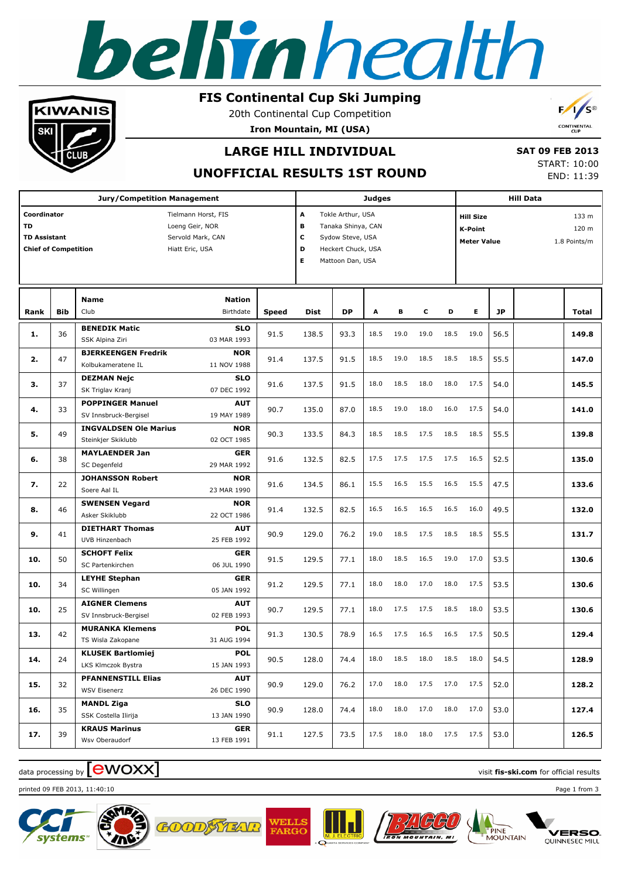# bellinhealth



### **FIS Continental Cup Ski Jumping**

20th Continental Cup Competition **Iron Mountain, MI (USA)**



### **LARGE HILL INDIVIDUAL**

### **SAT 09 FEB 2013** START: 10:00 END: 11:39

**UNOFFICIAL RESULTS 1ST ROUND**

|                                                                                |            | <b>Jury/Competition Management</b>                                               |                                                             |              |                       |                                                                                   | <b>Judges</b> |              |              |              |                                                          |                                | <b>Hill Data</b> |                |
|--------------------------------------------------------------------------------|------------|----------------------------------------------------------------------------------|-------------------------------------------------------------|--------------|-----------------------|-----------------------------------------------------------------------------------|---------------|--------------|--------------|--------------|----------------------------------------------------------|--------------------------------|------------------|----------------|
| Coordinator<br><b>TD</b><br><b>TD Assistant</b><br><b>Chief of Competition</b> |            | Hiatt Eric, USA                                                                  | Tielmann Horst, FIS<br>Loeng Geir, NOR<br>Servold Mark, CAN |              | A<br>В<br>c<br>D<br>Е | Tokle Arthur, USA<br>Tanaka Shinya, CAN<br>Sydow Steve, USA<br>Heckert Chuck, USA |               |              |              |              | <b>Hill Size</b><br><b>K-Point</b><br><b>Meter Value</b> | 133 m<br>120 m<br>1.8 Points/m |                  |                |
|                                                                                |            |                                                                                  |                                                             |              |                       | Mattoon Dan, USA                                                                  |               |              |              |              |                                                          |                                |                  |                |
| Rank                                                                           | <b>Bib</b> | <b>Name</b><br>Club                                                              | <b>Nation</b><br>Birthdate                                  | <b>Speed</b> | <b>Dist</b>           | <b>DP</b>                                                                         | A             | В            | c            | D            | Е                                                        | <b>JP</b>                      |                  | Total          |
| 1.                                                                             | 36         | <b>BENEDIK Matic</b><br>SSK Alpina Ziri                                          | <b>SLO</b><br>03 MAR 1993                                   | 91.5         | 138.5                 | 93.3                                                                              | 18.5          | 19.0         | 19.0         | 18.5         | 19.0                                                     | 56.5                           |                  | 149.8          |
| 2.                                                                             | 47         | <b>BJERKEENGEN Fredrik</b><br>Kolbukameratene IL                                 | <b>NOR</b><br>11 NOV 1988                                   | 91.4         | 137.5                 | 91.5                                                                              | 18.5          | 19.0         | 18.5         | 18.5         | 18.5                                                     | 55.5                           |                  | 147.0          |
| з.                                                                             | 37         | <b>DEZMAN Nejc</b><br>SK Triglav Kranj                                           | <b>SLO</b><br>07 DEC 1992                                   | 91.6         | 137.5                 | 91.5                                                                              | 18.0          | 18.5         | 18.0         | 18.0         | 17.5                                                     | 54.0                           |                  | 145.5          |
| 4.                                                                             | 33         | <b>POPPINGER Manuel</b><br>SV Innsbruck-Bergisel<br><b>INGVALDSEN Ole Marius</b> | <b>AUT</b><br>19 MAY 1989<br><b>NOR</b>                     | 90.7         | 135.0                 | 87.0                                                                              | 18.5          | 19.0         | 18.0         | 16.0         | 17.5                                                     | 54.0                           |                  | 141.0          |
| 5.                                                                             | 49         | Steinkjer Skiklubb<br><b>MAYLAENDER Jan</b>                                      | 02 OCT 1985<br><b>GER</b>                                   | 90.3         | 133.5                 | 84.3                                                                              | 18.5          | 18.5         | 17.5         | 18.5         | 18.5                                                     | 55.5                           |                  | 139.8          |
| 6.                                                                             | 38         | SC Degenfeld<br><b>JOHANSSON Robert</b>                                          | 29 MAR 1992<br><b>NOR</b>                                   | 91.6         | 132.5                 | 82.5                                                                              | 17.5          | 17.5         | 17.5         | 17.5         | 16.5                                                     | 52.5                           |                  | 135.0          |
| 7.                                                                             | 22         | Soere Aal IL<br><b>SWENSEN Vegard</b>                                            | 23 MAR 1990<br><b>NOR</b>                                   | 91.6         | 134.5                 | 86.1                                                                              | 15.5          | 16.5         | 15.5         | 16.5         | 15.5                                                     | 47.5                           |                  | 133.6          |
| 8.                                                                             | 46         | Asker Skiklubb<br><b>DIETHART Thomas</b>                                         | 22 OCT 1986<br><b>AUT</b>                                   | 91.4         | 132.5                 | 82.5                                                                              | 16.5          | 16.5         | 16.5         | 16.5         | 16.0                                                     | 49.5                           |                  | 132.0          |
| 9.                                                                             | 41         | UVB Hinzenbach<br><b>SCHOFT Felix</b>                                            | 25 FEB 1992<br><b>GER</b>                                   | 90.9<br>91.5 | 129.0                 | 76.2                                                                              | 19.0<br>18.0  | 18.5<br>18.5 | 17.5<br>16.5 | 18.5<br>19.0 | 18.5<br>17.0                                             | 55.5                           |                  | 131.7          |
| 10.<br>10.                                                                     | 50<br>34   | SC Partenkirchen<br><b>LEYHE Stephan</b>                                         | 06 JUL 1990<br><b>GER</b>                                   | 91.2         | 129.5<br>129.5        | 77.1<br>77.1                                                                      | 18.0          | 18.0         | 17.0         | 18.0         | 17.5                                                     | 53.5<br>53.5                   |                  | 130.6<br>130.6 |
| 10.                                                                            | 25         | SC Willingen<br><b>AIGNER Clemens</b>                                            | 05 JAN 1992<br><b>AUT</b>                                   | 90.7         | 129.5                 | 77.1                                                                              | 18.0          | 17.5         | 17.5         | 18.5         | 18.0                                                     | 53.5                           |                  | 130.6          |
| 13.                                                                            | 42         | SV Innsbruck-Bergisel<br><b>MURANKA Klemens</b><br>TS Wisla Zakopane             | 02 FEB 1993<br><b>POL</b><br>31 AUG 1994                    | 91.3         | 130.5                 | 78.9                                                                              | 16.5          | 17.5         | 16.5         | 16.5         | 17.5                                                     | 50.5                           |                  | 129.4          |
| 14.                                                                            | 24         | <b>KLUSEK Bartlomiej</b><br>LKS Klmczok Bystra                                   | <b>POL</b><br>15 JAN 1993                                   | 90.5         | 128.0                 | 74.4                                                                              |               |              |              |              | 18.0 18.5 18.0 18.5 18.0                                 | 54.5                           |                  | 128.9          |
| 15.                                                                            | 32         | <b>PFANNENSTILL Elias</b><br><b>WSV Eisenerz</b>                                 | <b>AUT</b><br>26 DEC 1990                                   | 90.9         | 129.0                 | 76.2                                                                              | 17.0          |              | 18.0 17.5    |              | 17.0 17.5                                                | 52.0                           |                  | 128.2          |
| 16.                                                                            | 35         | <b>MANDL Ziga</b><br>SSK Costella Ilirija                                        | <b>SLO</b><br>13 JAN 1990                                   | 90.9         | 128.0                 | 74.4                                                                              | 18.0          | 18.0 17.0    |              | 18.0         | 17.0                                                     | 53.0                           |                  | 127.4          |
| 17.                                                                            | 39         | <b>KRAUS Marinus</b><br>Wsv Oberaudorf                                           | <b>GER</b><br>13 FEB 1991                                   | 91.1         | 127.5                 | 73.5                                                                              | 17.5          | 18.0 18.0    |              |              | 17.5 17.5                                                | 53.0                           |                  | 126.5          |

## data processing by **CWOXX** and  $\overline{C}$  and  $\overline{C}$  and  $\overline{C}$  and  $\overline{C}$  and  $\overline{C}$  and  $\overline{C}$  and  $\overline{C}$  and  $\overline{C}$  and  $\overline{C}$  and  $\overline{C}$  and  $\overline{C}$  and  $\overline{C}$  and  $\overline{C}$  and  $\overline{C}$  and  $\overline{C}$

printed 09 FEB 2013, 11:40:10 Page 1 from 3









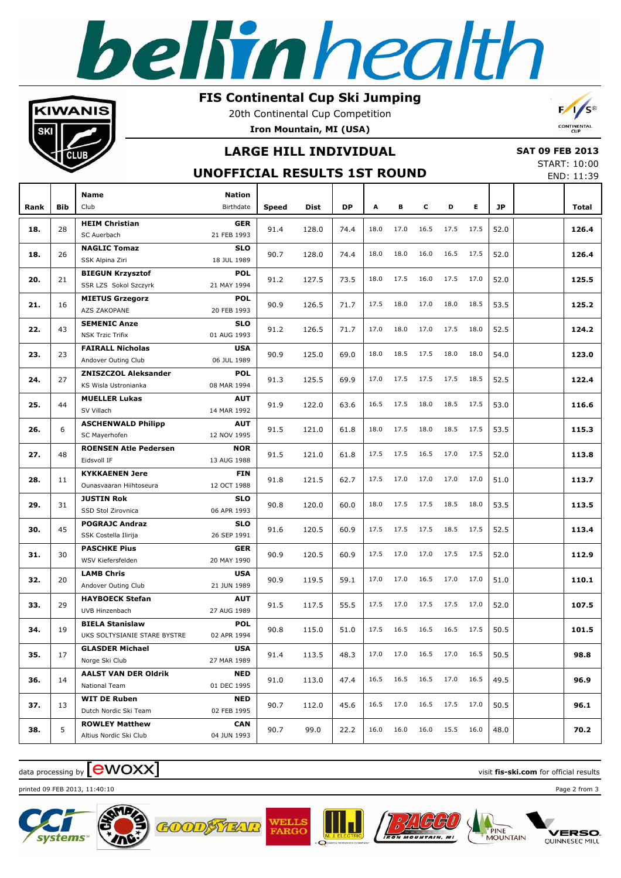# bellinhealth

## **FIS Continental Cup Ski Jumping**

20th Continental Cup Competition **Iron Mountain, MI (USA)**



### **LARGE HILL INDIVIDUAL**

### **SAT 09 FEB 2013** START: 10:00

END: 11:39

### **UNOFFICIAL RESULTS 1ST ROUND**

|      |            | <b>Name</b>                  | <b>Nation</b> |              |             |           |      |      |      |      |      |      |              |
|------|------------|------------------------------|---------------|--------------|-------------|-----------|------|------|------|------|------|------|--------------|
| Rank | <b>Bib</b> | Club                         | Birthdate     | <b>Speed</b> | <b>Dist</b> | <b>DP</b> | A    | в    | c    | D    | E    | JP.  | <b>Total</b> |
| 18.  | 28         | <b>HEIM Christian</b>        | <b>GER</b>    | 91.4         | 128.0       | 74.4      | 18.0 | 17.0 | 16.5 | 17.5 | 17.5 | 52.0 | 126.4        |
|      |            | SC Auerbach                  | 21 FEB 1993   |              |             |           |      |      |      |      |      |      |              |
| 18.  | 26         | <b>NAGLIC Tomaz</b>          | <b>SLO</b>    | 90.7         | 128.0       | 74.4      | 18.0 | 18.0 | 16.0 | 16.5 | 17.5 | 52.0 | 126.4        |
|      |            | SSK Alpina Ziri              | 18 JUL 1989   |              |             |           |      |      |      |      |      |      |              |
| 20.  | 21         | <b>BIEGUN Krzysztof</b>      | <b>POL</b>    | 91.2         | 127.5       | 73.5      | 18.0 | 17.5 | 16.0 | 17.5 | 17.0 | 52.0 | 125.5        |
|      |            | SSR LZS Sokol Szczyrk        | 21 MAY 1994   |              |             |           |      |      |      |      |      |      |              |
| 21.  | 16         | <b>MIETUS Grzegorz</b>       | <b>POL</b>    | 90.9         | 126.5       | 71.7      | 17.5 | 18.0 | 17.0 | 18.0 | 18.5 | 53.5 | 125.2        |
|      |            | AZS ZAKOPANE                 | 20 FEB 1993   |              |             |           |      |      |      |      |      |      |              |
| 22.  | 43         | <b>SEMENIC Anze</b>          | <b>SLO</b>    | 91.2         | 126.5       | 71.7      | 17.0 | 18.0 | 17.0 | 17.5 | 18.0 | 52.5 | 124.2        |
|      |            | <b>NSK Trzic Trifix</b>      | 01 AUG 1993   |              |             |           |      |      |      |      |      |      |              |
| 23.  | 23         | <b>FAIRALL Nicholas</b>      | <b>USA</b>    | 90.9         | 125.0       | 69.0      | 18.0 | 18.5 | 17.5 | 18.0 | 18.0 | 54.0 | 123.0        |
|      |            | Andover Outing Club          | 06 JUL 1989   |              |             |           |      |      |      |      |      |      |              |
| 24.  | 27         | <b>ZNISZCZOL Aleksander</b>  | <b>POL</b>    | 91.3         | 125.5       | 69.9      | 17.0 | 17.5 | 17.5 | 17.5 | 18.5 | 52.5 | 122.4        |
|      |            | KS Wisla Ustronianka         | 08 MAR 1994   |              |             |           |      |      |      |      |      |      |              |
| 25.  | 44         | <b>MUELLER Lukas</b>         | <b>AUT</b>    | 91.9         | 122.0       | 63.6      | 16.5 | 17.5 | 18.0 | 18.5 | 17.5 | 53.0 | 116.6        |
|      |            | SV Villach                   | 14 MAR 1992   |              |             |           |      |      |      |      |      |      |              |
| 26.  | 6          | <b>ASCHENWALD Philipp</b>    | <b>AUT</b>    | 91.5         | 121.0       | 61.8      | 18.0 | 17.5 | 18.0 | 18.5 | 17.5 | 53.5 | 115.3        |
|      |            | SC Mayerhofen                | 12 NOV 1995   |              |             |           |      |      |      |      |      |      |              |
| 27.  | 48         | <b>ROENSEN Atle Pedersen</b> | <b>NOR</b>    | 91.5         | 121.0       | 61.8      | 17.5 | 17.5 | 16.5 | 17.0 | 17.5 | 52.0 | 113.8        |
|      |            | Eidsvoll IF                  | 13 AUG 1988   |              |             |           |      |      |      |      |      |      |              |
| 28.  | 11         | <b>KYKKAENEN Jere</b>        | <b>FIN</b>    | 91.8         | 121.5       | 62.7      | 17.5 | 17.0 | 17.0 | 17.0 | 17.0 | 51.0 | 113.7        |
|      |            | Ounasvaaran Hiihtoseura      | 12 OCT 1988   |              |             |           |      |      |      |      |      |      |              |
| 29.  | 31         | <b>JUSTIN Rok</b>            | <b>SLO</b>    | 90.8         | 120.0       | 60.0      | 18.0 | 17.5 | 17.5 | 18.5 | 18.0 | 53.5 | 113.5        |
|      |            | SSD Stol Zirovnica           | 06 APR 1993   |              |             |           |      |      |      |      |      |      |              |
| 30.  | 45         | <b>POGRAJC Andraz</b>        | <b>SLO</b>    | 91.6         | 120.5       | 60.9      | 17.5 | 17.5 | 17.5 | 18.5 | 17.5 | 52.5 | 113.4        |
|      |            | SSK Costella Ilirija         | 26 SEP 1991   |              |             |           |      |      |      |      |      |      |              |
| 31.  | 30         | <b>PASCHKE Pius</b>          | <b>GER</b>    | 90.9         | 120.5       | 60.9      | 17.5 | 17.0 | 17.0 | 17.5 | 17.5 | 52.0 | 112.9        |
|      |            | WSV Kiefersfelden            | 20 MAY 1990   |              |             |           |      |      |      |      |      |      |              |
| 32.  | 20         | <b>LAMB Chris</b>            | <b>USA</b>    | 90.9         | 119.5       | 59.1      | 17.0 | 17.0 | 16.5 | 17.0 | 17.0 | 51.0 | 110.1        |
|      |            | Andover Outing Club          | 21 JUN 1989   |              |             |           |      |      |      |      |      |      |              |
| 33.  | 29         | <b>HAYBOECK Stefan</b>       | <b>AUT</b>    | 91.5         | 117.5       | 55.5      | 17.5 | 17.0 | 17.5 | 17.5 | 17.0 | 52.0 | 107.5        |
|      |            | UVB Hinzenbach               | 27 AUG 1989   |              |             |           |      |      |      |      |      |      |              |
| 34.  | 19         | <b>BIELA Stanislaw</b>       | <b>POL</b>    | 90.8         | 115.0       | 51.0      | 17.5 | 16.5 | 16.5 | 16.5 | 17.5 | 50.5 | 101.5        |
|      |            | UKS SOLTYSIANIE STARE BYSTRE | 02 APR 1994   |              |             |           |      |      |      |      |      |      |              |
| 35.  | 17         | <b>GLASDER Michael</b>       | <b>USA</b>    | 91.4         | 113.5       | 48.3      | 17.0 | 17.0 | 16.5 | 17.0 | 16.5 | 50.5 | 98.8         |
|      |            | Norge Ski Club               | 27 MAR 1989   |              |             |           |      |      |      |      |      |      |              |
| 36.  | 14         | <b>AALST VAN DER Oldrik</b>  | <b>NED</b>    | 91.0         | 113.0       | 47.4      | 16.5 | 16.5 | 16.5 | 17.0 | 16.5 | 49.5 | 96.9         |
|      |            | National Team                | 01 DEC 1995   |              |             |           |      |      |      |      |      |      |              |

 $\alpha$  data processing by  $\boxed{\text{ewOX}}$ 

printed 09 FEB 2013, 11:40:10 Page 2 from 3

systems

**KIWANIS** 

**WIT DE Ruben** Dutch Nordic Ski Team

**ROWLEY Matthew** Altius Nordic Ski Club





**37.** 13 90.7 112.0 45.6 16.5 17.0 16.5 17.5 17.0 50.5 **96.1**

**38.** 5 90.7 99.0 22.2 16.0 16.0 16.0 15.5 16.0 48.0 **70.2**

**NED** 02 FEB 1995

**CAN** 04 JUN 1993